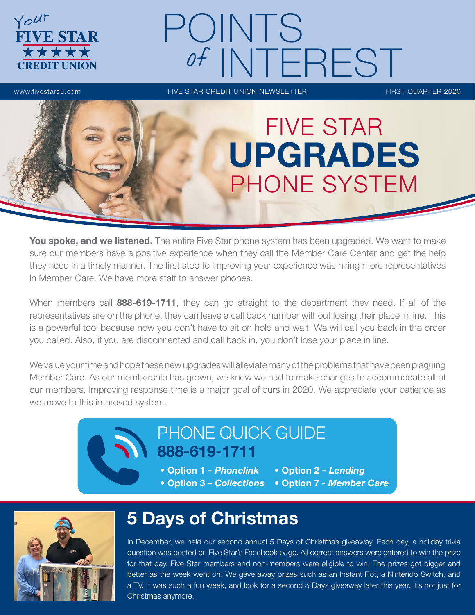

# POINTS INTEREST

www.fivestarcu.com **FIVE STAR CREDIT UNION NEWSLETTER** FIRST QUARTER 2020



You spoke, and we listened. The entire Five Star phone system has been upgraded. We want to make sure our members have a positive experience when they call the Member Care Center and get the help they need in a timely manner. The first step to improving your experience was hiring more representatives in Member Care. We have more staff to answer phones.

When members call 888-619-1711, they can go straight to the department they need. If all of the representatives are on the phone, they can leave a call back number without losing their place in line. This is a powerful tool because now you don't have to sit on hold and wait. We will call you back in the order you called. Also, if you are disconnected and call back in, you don't lose your place in line.

We value your time and hope these new upgrades will alleviate many of the problems that have been plaguing Member Care. As our membership has grown, we knew we had to make changes to accommodate all of our members. Improving response time is a major goal of ours in 2020. We appreciate your patience as we move to this improved system.

## PHONE QUICK GUIDE 888-619-1711

- Option 1 *Phonelink* Option 2 *Lending*
- Option 3 *Collections* Option 7 *Member Care*



# 5 Days of Christmas

In December, we held our second annual 5 Days of Christmas giveaway. Each day, a holiday trivia question was posted on Five Star's Facebook page. All correct answers were entered to win the prize for that day. Five Star members and non-members were eligible to win. The prizes got bigger and better as the week went on. We gave away prizes such as an Instant Pot, a Nintendo Switch, and a TV. It was such a fun week, and look for a second 5 Days giveaway later this year. It's not just for Christmas anymore.